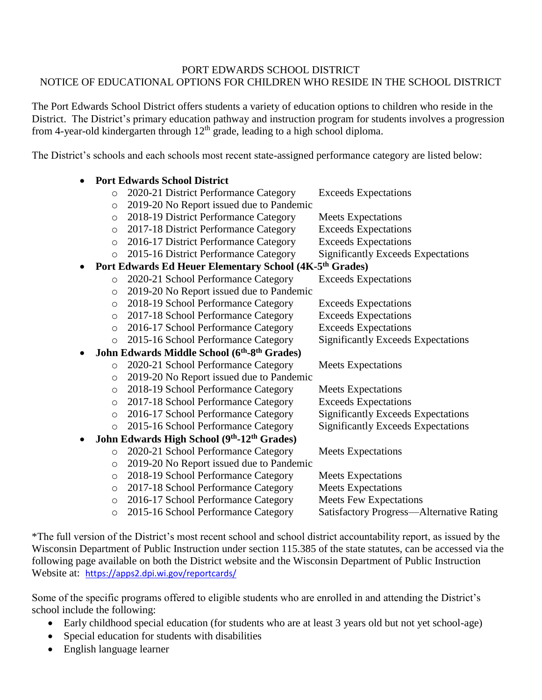## PORT EDWARDS SCHOOL DISTRICT NOTICE OF EDUCATIONAL OPTIONS FOR CHILDREN WHO RESIDE IN THE SCHOOL DISTRICT

The Port Edwards School District offers students a variety of education options to children who reside in the District. The District's primary education pathway and instruction program for students involves a progression from 4-year-old kindergarten through  $12<sup>th</sup>$  grade, leading to a high school diploma.

The District's schools and each schools most recent state-assigned performance category are listed below:

|           |         | <b>Port Edwards School District</b>                                 |                                                 |
|-----------|---------|---------------------------------------------------------------------|-------------------------------------------------|
|           | $\circ$ | 2020-21 District Performance Category                               | <b>Exceeds Expectations</b>                     |
|           | $\circ$ | 2019-20 No Report issued due to Pandemic                            |                                                 |
|           | $\circ$ | 2018-19 District Performance Category                               | <b>Meets Expectations</b>                       |
|           | $\circ$ | 2017-18 District Performance Category                               | <b>Exceeds Expectations</b>                     |
|           | $\circ$ | 2016-17 District Performance Category                               | <b>Exceeds Expectations</b>                     |
|           | $\circ$ | 2015-16 District Performance Category                               | <b>Significantly Exceeds Expectations</b>       |
|           |         | Port Edwards Ed Heuer Elementary School (4K-5 <sup>th</sup> Grades) |                                                 |
|           | $\circ$ | 2020-21 School Performance Category                                 | <b>Exceeds Expectations</b>                     |
|           | $\circ$ | 2019-20 No Report issued due to Pandemic                            |                                                 |
|           | $\circ$ | 2018-19 School Performance Category                                 | <b>Exceeds Expectations</b>                     |
|           | $\circ$ | 2017-18 School Performance Category                                 | <b>Exceeds Expectations</b>                     |
|           | $\circ$ | 2016-17 School Performance Category                                 | <b>Exceeds Expectations</b>                     |
|           | $\circ$ | 2015-16 School Performance Category                                 | <b>Significantly Exceeds Expectations</b>       |
| $\bullet$ |         | John Edwards Middle School (6th-8th Grades)                         |                                                 |
|           | $\circ$ | 2020-21 School Performance Category                                 | <b>Meets Expectations</b>                       |
|           | $\circ$ | 2019-20 No Report issued due to Pandemic                            |                                                 |
|           | $\circ$ | 2018-19 School Performance Category                                 | <b>Meets Expectations</b>                       |
|           | $\circ$ | 2017-18 School Performance Category                                 | <b>Exceeds Expectations</b>                     |
|           | $\circ$ | 2016-17 School Performance Category                                 | <b>Significantly Exceeds Expectations</b>       |
|           | $\circ$ | 2015-16 School Performance Category                                 | <b>Significantly Exceeds Expectations</b>       |
| $\bullet$ |         | John Edwards High School (9th-12th Grades)                          |                                                 |
|           | $\circ$ | 2020-21 School Performance Category                                 | <b>Meets Expectations</b>                       |
|           | $\circ$ | 2019-20 No Report issued due to Pandemic                            |                                                 |
|           | $\circ$ | 2018-19 School Performance Category                                 | <b>Meets Expectations</b>                       |
|           | $\circ$ | 2017-18 School Performance Category                                 | <b>Meets Expectations</b>                       |
|           | $\circ$ | 2016-17 School Performance Category                                 | <b>Meets Few Expectations</b>                   |
|           | $\circ$ | 2015-16 School Performance Category                                 | <b>Satisfactory Progress—Alternative Rating</b> |

\*The full version of the District's most recent school and school district accountability report, as issued by the Wisconsin Department of Public Instruction under section 115.385 of the state statutes, can be accessed via the following page available on both the District website and the Wisconsin Department of Public Instruction Website at: <https://apps2.dpi.wi.gov/reportcards/>

Some of the specific programs offered to eligible students who are enrolled in and attending the District's school include the following:

- Early childhood special education (for students who are at least 3 years old but not yet school-age)
- Special education for students with disabilities
- English language learner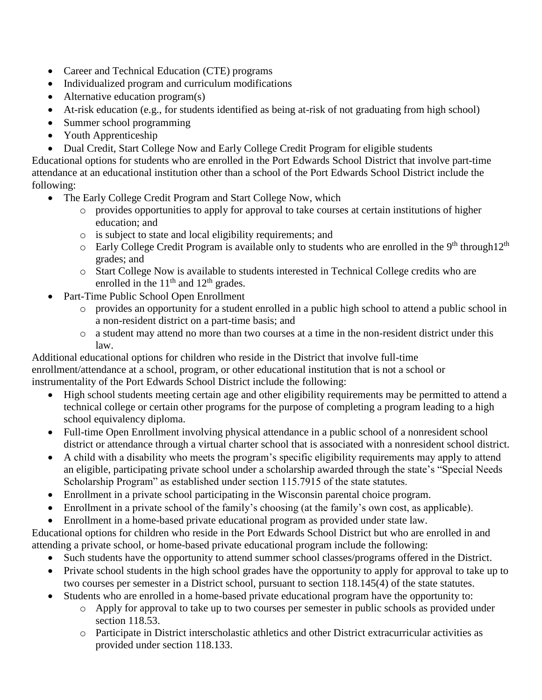- Career and Technical Education (CTE) programs
- Individualized program and curriculum modifications
- Alternative education program(s)
- At-risk education (e.g., for students identified as being at-risk of not graduating from high school)
- Summer school programming
- Youth Apprenticeship
- Dual Credit, Start College Now and Early College Credit Program for eligible students

Educational options for students who are enrolled in the Port Edwards School District that involve part-time attendance at an educational institution other than a school of the Port Edwards School District include the following:

- The Early College Credit Program and Start College Now, which
	- o provides opportunities to apply for approval to take courses at certain institutions of higher education; and
	- o is subject to state and local eligibility requirements; and
	- $\circ$  Early College Credit Program is available only to students who are enrolled in the 9<sup>th</sup> through12<sup>th</sup> grades; and
	- o Start College Now is available to students interested in Technical College credits who are enrolled in the  $11<sup>th</sup>$  and  $12<sup>th</sup>$  grades.
- Part-Time Public School Open Enrollment
	- o provides an opportunity for a student enrolled in a public high school to attend a public school in a non-resident district on a part-time basis; and
	- o a student may attend no more than two courses at a time in the non-resident district under this law.

Additional educational options for children who reside in the District that involve full-time enrollment/attendance at a school, program, or other educational institution that is not a school or instrumentality of the Port Edwards School District include the following:

- High school students meeting certain age and other eligibility requirements may be permitted to attend a technical college or certain other programs for the purpose of completing a program leading to a high school equivalency diploma.
- Full-time Open Enrollment involving physical attendance in a public school of a nonresident school district or attendance through a virtual charter school that is associated with a nonresident school district.
- A child with a disability who meets the program's specific eligibility requirements may apply to attend an eligible, participating private school under a scholarship awarded through the state's "Special Needs Scholarship Program" as established under section 115.7915 of the state statutes.
- Enrollment in a private school participating in the Wisconsin parental choice program.
- Enrollment in a private school of the family's choosing (at the family's own cost, as applicable).
- Enrollment in a home-based private educational program as provided under state law.

Educational options for children who reside in the Port Edwards School District but who are enrolled in and attending a private school, or home-based private educational program include the following:

- Such students have the opportunity to attend summer school classes/programs offered in the District.
- Private school students in the high school grades have the opportunity to apply for approval to take up to two courses per semester in a District school, pursuant to section 118.145(4) of the state statutes.
- Students who are enrolled in a home-based private educational program have the opportunity to:
	- o Apply for approval to take up to two courses per semester in public schools as provided under section 118.53.
	- o Participate in District interscholastic athletics and other District extracurricular activities as provided under section 118.133.